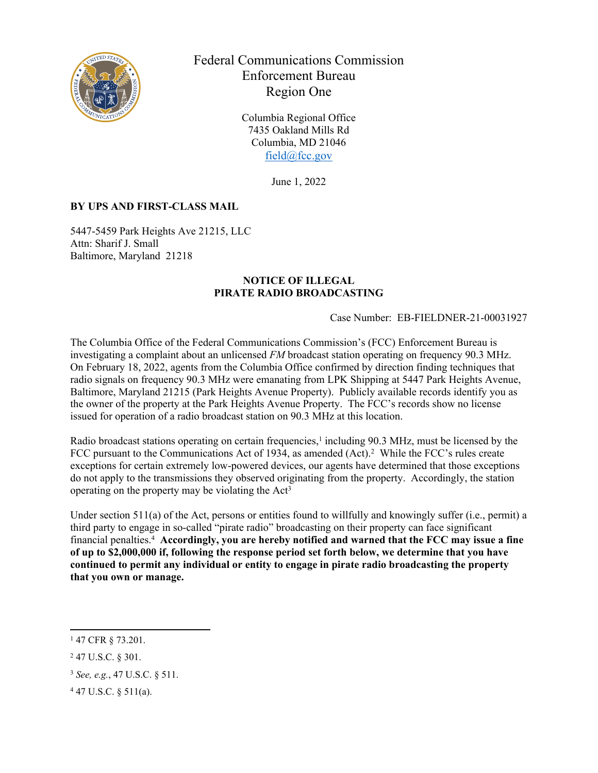

Federal Communications Commission Enforcement Bureau Region One

> Columbia Regional Office 7435 Oakland Mills Rd Columbia, MD 21046 [field@fcc.gov](mailto:field@fcc.gov)

> > June 1, 2022

## **BY UPS AND FIRST-CLASS MAIL**

5447-5459 Park Heights Ave 21215, LLC Attn: Sharif J. Small Baltimore, Maryland 21218

## **NOTICE OF ILLEGAL PIRATE RADIO BROADCASTING**

Case Number: EB-FIELDNER-21-00031927

The Columbia Office of the Federal Communications Commission's (FCC) Enforcement Bureau is investigating a complaint about an unlicensed *FM* broadcast station operating on frequency 90.3 MHz. On February 18, 2022, agents from the Columbia Office confirmed by direction finding techniques that radio signals on frequency 90.3 MHz were emanating from LPK Shipping at 5447 Park Heights Avenue, Baltimore, Maryland 21215 (Park Heights Avenue Property). Publicly available records identify you as the owner of the property at the Park Heights Avenue Property. The FCC's records show no license issued for operation of a radio broadcast station on 90.3 MHz at this location.

Radio broadcast stations operating on certain frequencies,<sup>1</sup> including 90.3 MHz, must be licensed by the FCC pursuant to the Communications Act of 1934, as amended (Act).<sup>2</sup> While the FCC's rules create exceptions for certain extremely low-powered devices, our agents have determined that those exceptions do not apply to the transmissions they observed originating from the property. Accordingly, the station operating on the property may be violating the  $Act<sup>3</sup>$ 

Under section 511(a) of the Act, persons or entities found to willfully and knowingly suffer (i.e., permit) a third party to engage in so-called "pirate radio" broadcasting on their property can face significant financial penalties.<sup>4</sup> **Accordingly, you are hereby notified and warned that the FCC may issue a fine of up to \$2,000,000 if, following the response period set forth below, we determine that you have continued to permit any individual or entity to engage in pirate radio broadcasting the property that you own or manage.** 

<sup>1</sup> 47 CFR § 73.201.

<sup>2</sup> 47 U.S.C. § 301.

<sup>3</sup> *See, e.g.*, 47 U.S.C. § 511.

<sup>4</sup> 47 U.S.C. § 511(a).